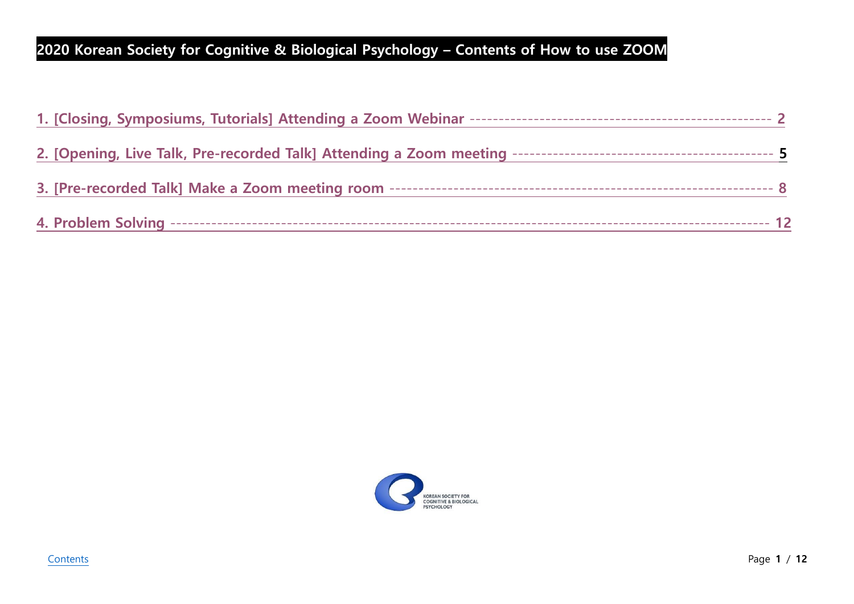# <span id="page-0-0"></span>**2020 Korean Society for Cognitive & Biological Psychology – Contents of How to use ZOOM**

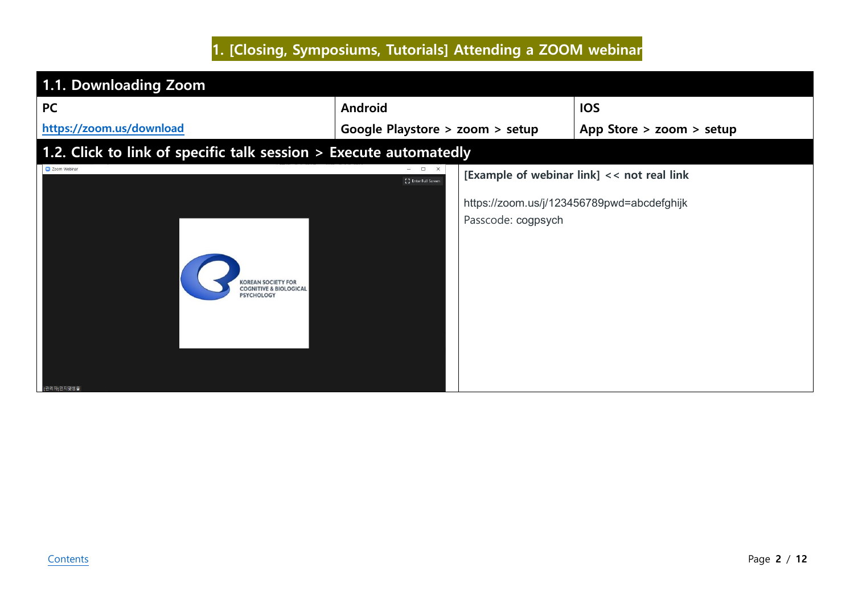# **1. [Closing, Symposiums, Tutorials] Attending a ZOOM webinar**

<span id="page-1-0"></span>

| <b>PC</b>                                                                                        | <b>Android</b>                                          | <b>IOS</b>                                 |
|--------------------------------------------------------------------------------------------------|---------------------------------------------------------|--------------------------------------------|
| https://zoom.us/download                                                                         | Google Playstore > zoom > setup                         | App Store > zoom > setup                   |
| 1.2. Click to link of specific talk session > Execute automatedly                                |                                                         |                                            |
| Zoom Webinar                                                                                     | $ \quad$ $\Box$<br>$\mathsf{X}$<br>[] Enter Full Screen | [Example of webinar link] << not real link |
| <b><i><u>OREAN SOCIETY FOR</u></i></b><br><b>COGNITIVE &amp; BIOLOGICAL</b><br><b>PSYCHOLOGY</b> | Passcode: cogpsych                                      | https://zoom.us/j/123456789pwd=abcdefghijk |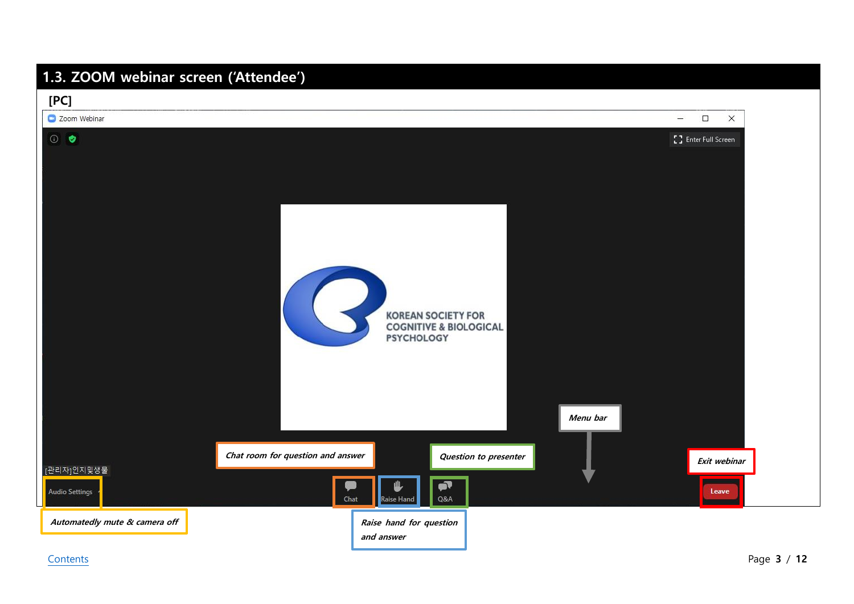## **1.3. ZOOM webinar screen ('Attendee')**

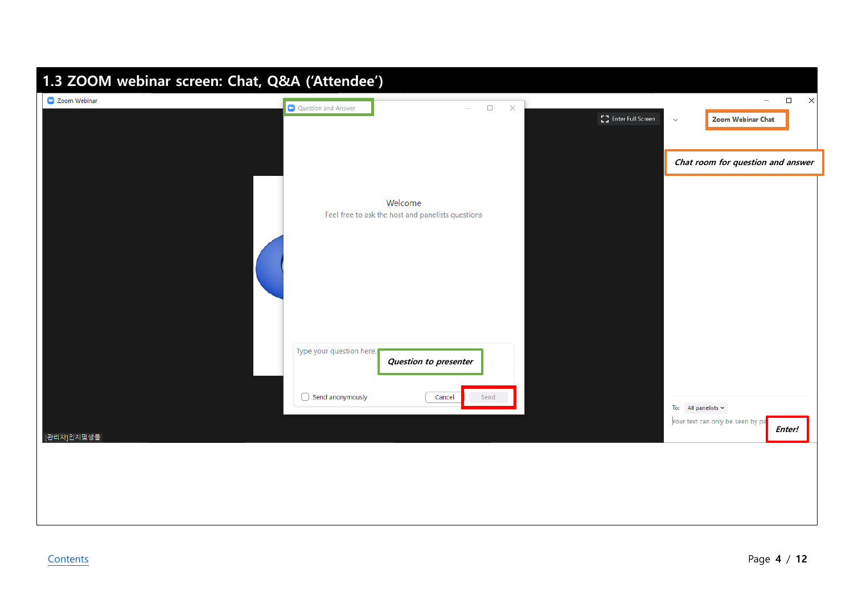| Co Zoom Webinar<br>$\Box$<br>$\times$<br>$\overline{\phantom{m}}$<br>Question and Answer<br>$\Box$<br>$\times$<br>[] Enter Full Screen<br><b>Zoom Webinar Chat</b><br>$\checkmark$<br>Chat room for question and answer<br>Welcome<br>Feel free to ask the host and panelists questions |
|-----------------------------------------------------------------------------------------------------------------------------------------------------------------------------------------------------------------------------------------------------------------------------------------|
|                                                                                                                                                                                                                                                                                         |
|                                                                                                                                                                                                                                                                                         |
|                                                                                                                                                                                                                                                                                         |
|                                                                                                                                                                                                                                                                                         |
|                                                                                                                                                                                                                                                                                         |
|                                                                                                                                                                                                                                                                                         |
|                                                                                                                                                                                                                                                                                         |
|                                                                                                                                                                                                                                                                                         |
|                                                                                                                                                                                                                                                                                         |
|                                                                                                                                                                                                                                                                                         |
|                                                                                                                                                                                                                                                                                         |
|                                                                                                                                                                                                                                                                                         |
| Type your question here.<br>Question to presenter                                                                                                                                                                                                                                       |
|                                                                                                                                                                                                                                                                                         |
| $\bigcirc$ Send anonymously<br>Cancel<br>Send<br>To: All panelists $\sim$                                                                                                                                                                                                               |
| Your text can only be seen by pa<br>Enter!                                                                                                                                                                                                                                              |
| [관리자]인지및생물                                                                                                                                                                                                                                                                              |
|                                                                                                                                                                                                                                                                                         |
|                                                                                                                                                                                                                                                                                         |
|                                                                                                                                                                                                                                                                                         |
|                                                                                                                                                                                                                                                                                         |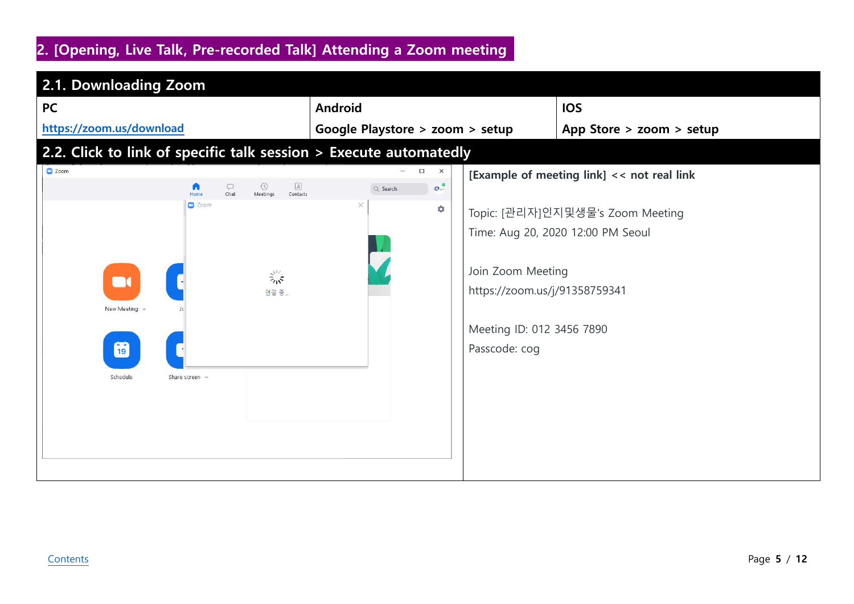## <span id="page-4-0"></span>**2. [Opening, Live Talk, Pre-recorded Talk] Attending a Zoom meeting**

| 2.1. Downloading Zoom                                                                                                                                                                                                 |                                                                                                                                      |                                                                                                                                                      |
|-----------------------------------------------------------------------------------------------------------------------------------------------------------------------------------------------------------------------|--------------------------------------------------------------------------------------------------------------------------------------|------------------------------------------------------------------------------------------------------------------------------------------------------|
| <b>PC</b>                                                                                                                                                                                                             | <b>Android</b>                                                                                                                       | <b>IOS</b>                                                                                                                                           |
| https://zoom.us/download                                                                                                                                                                                              | Google Playstore > zoom > setup                                                                                                      | App Store > zoom > setup                                                                                                                             |
| 2.2. Click to link of specific talk session > Execute automatedly                                                                                                                                                     |                                                                                                                                      |                                                                                                                                                      |
| C Zoom<br>$\qquad \qquad \Box$<br>$\odot$<br>$\circ$<br>A<br>Chat<br>Home<br>Meetings<br>Contacts<br>$\Box$ Zoom<br>$\frac{2}{2}$<br>$\mathbf{r}$<br>연결 중<br>New Meeting<br><b>i</b> ig<br>Schedule<br>Share screen v | $\Box$<br>$\times$<br>$\sigma$ <sup>o</sup><br>Q Search<br>×<br>۰<br>Join Zoom Meeting<br>Meeting ID: 012 3456 7890<br>Passcode: cog | [Example of meeting link] << not real link<br>Topic: [관리자]인지및생물's Zoom Meeting<br>Time: Aug 20, 2020 12:00 PM Seoul<br>https://zoom.us/j/91358759341 |
|                                                                                                                                                                                                                       |                                                                                                                                      |                                                                                                                                                      |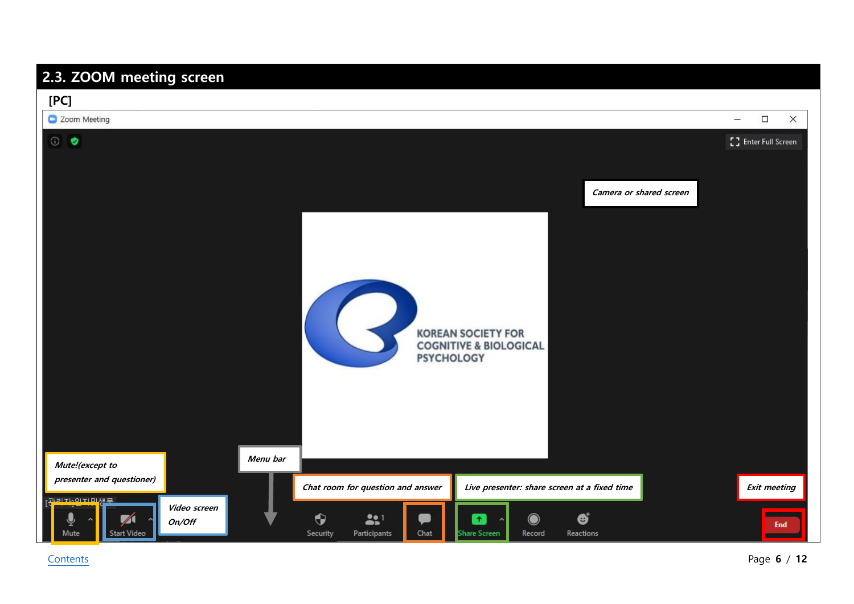### **2.3. ZOOM meeting screen**

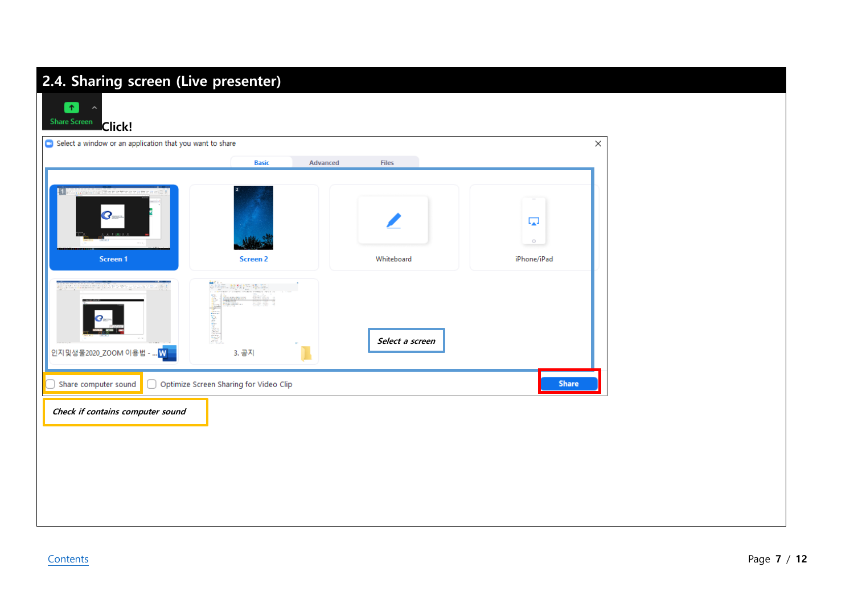#### **2.4. Sharing screen (Live presenter)**  $\bullet$  $\sim$ **Share Screen Click!** Select a window or an application that you want to share  $\times$ **Basic** Advanced Files  $\overline{\phantom{a}}$  $\boldsymbol{G}$  $\overline{\mathbb{L}_\mathbf{A}}$  $\circ$ Screen 1 iPhone/iPad Screen<sub>2</sub> Whiteboard **不通過 战器医医院** İmportas Ükiğe's<br>Rusul **Thursday Select a screen** 인지및생물2020\_ZOOM 이용법 -3. 공지 .M Share computer sound O Optimize Screen Sharing for Video Clip Share **Check if contains computer sound**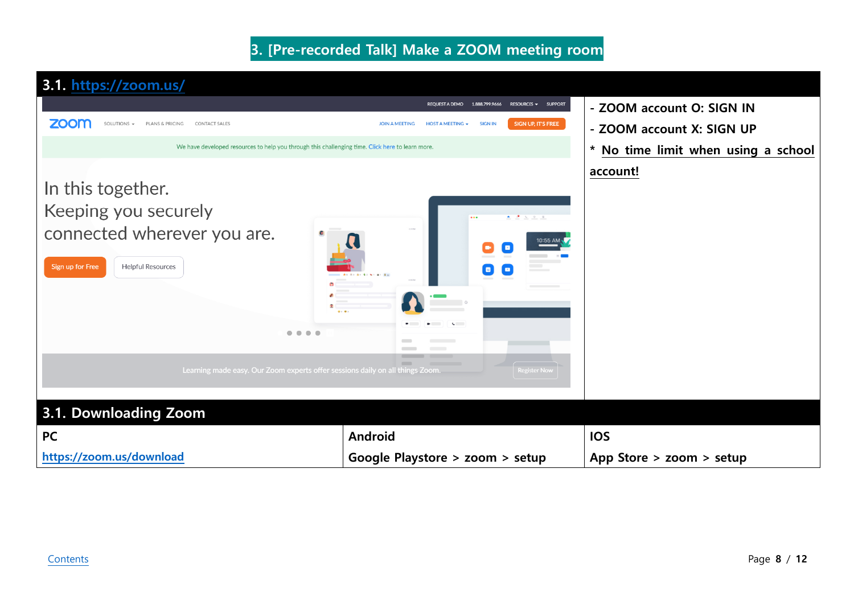#### **3. [Pre-recorded Talk] Make a ZOOM meeting room**

<span id="page-7-0"></span>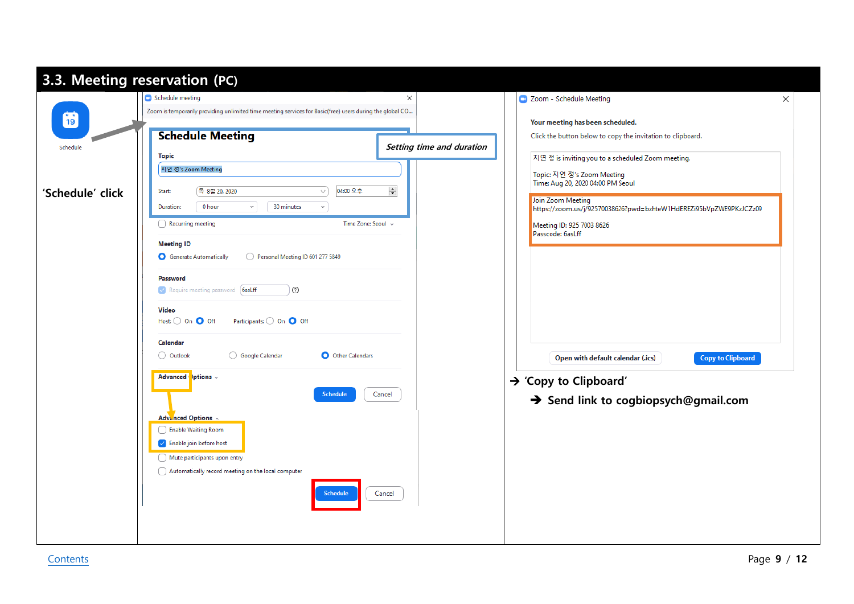|                  | Schedule meeting                                                                                         | $\times$                  | CJ Zoom - Schedule Meeting                                                              |
|------------------|----------------------------------------------------------------------------------------------------------|---------------------------|-----------------------------------------------------------------------------------------|
| fo               | Zoom is temporarily providing unlimited time meeting services for Basic(free) users during the global CO |                           | Your meeting has been scheduled.                                                        |
|                  | <b>Schedule Meeting</b>                                                                                  |                           | Click the button below to copy the invitation to clipboard.                             |
| Schedule         | <b>Topic</b>                                                                                             | Setting time and duration | 지연 정 is inviting you to a scheduled Zoom meeting.                                       |
|                  | 지연 정's Zoom Meeting                                                                                      |                           | Topic: 지연 정's Zoom Meeting                                                              |
| 'Schedule' click | 04:00 오후<br>목 8월 20, 2020<br>Start:<br>$\checkmark$                                                      | $\div$                    | Time: Aug 20, 2020 04:00 PM Seoul                                                       |
|                  | 0 hour<br>30 minutes<br>Duration:<br>$\checkmark$<br>$\checkmark$                                        |                           | Join Zoom Meeting<br>https://zoom.us/j/92570038626?pwd=bzhteW1HdEREZi95bVpZWE9PKzJCZz09 |
|                  | Time Zone: Seoul v<br>Recurring meeting                                                                  |                           | Meeting ID: 925 7003 8626                                                               |
|                  | <b>Meeting ID</b>                                                                                        |                           | Passcode: 6asLff                                                                        |
|                  | Personal Meeting ID 601 277 5849<br>Generate Automatically                                               |                           |                                                                                         |
|                  | Password                                                                                                 |                           |                                                                                         |
|                  | Require meeting password [6asLff]<br>⊙                                                                   |                           |                                                                                         |
|                  | Video                                                                                                    |                           |                                                                                         |
|                  | $Host:$ On $\bigcirc$ Off<br>Participants: 0 On 0 Off                                                    |                           |                                                                                         |
|                  | Calendar                                                                                                 |                           |                                                                                         |
|                  | Google Calendar<br>O Other Calendars<br>O Outlook                                                        |                           | <b>Copy to Clipboard</b><br>Open with default calendar (.ics)                           |
|                  | Advanced ptions .                                                                                        |                           | $\rightarrow$ 'Copy to Clipboard'                                                       |
|                  | <b>Schedule</b>                                                                                          | Cancel                    | Send link to cogbiopsych@gmail.com                                                      |
|                  | Advanced Options ^                                                                                       |                           |                                                                                         |
|                  | Enable Waiting Room                                                                                      |                           |                                                                                         |
|                  | $\blacktriangleright$ Enable join before host                                                            |                           |                                                                                         |
|                  | Mute participants upon entry                                                                             |                           |                                                                                         |
|                  | Automatically record meeting on the local computer                                                       |                           |                                                                                         |
|                  | <b>Schedule</b>                                                                                          | Cancel                    |                                                                                         |
|                  |                                                                                                          |                           |                                                                                         |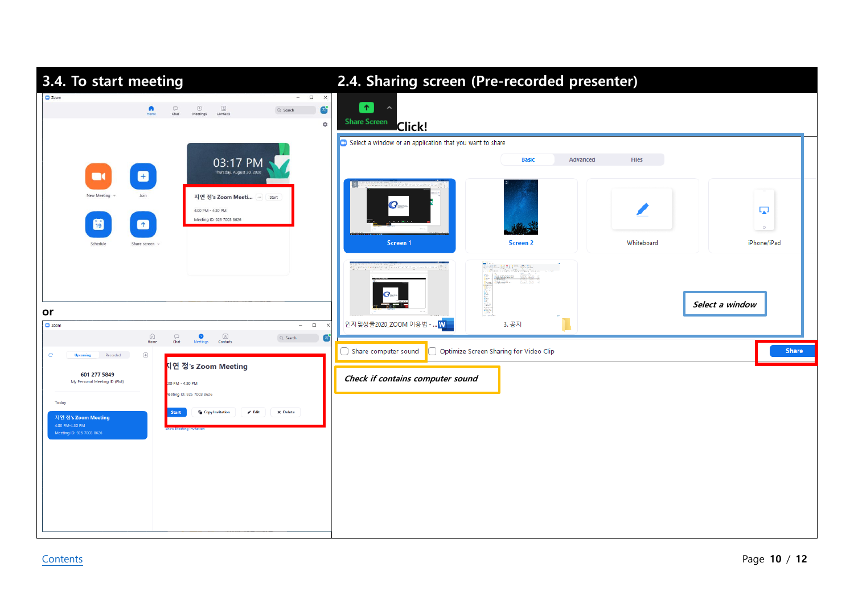| 3.4. To start meeting                                                                                                                                                                                                            | 2.4. Sharing screen (Pre-recorded presenter)                  |                                                           |                 |                              |
|----------------------------------------------------------------------------------------------------------------------------------------------------------------------------------------------------------------------------------|---------------------------------------------------------------|-----------------------------------------------------------|-----------------|------------------------------|
| $ \Box$ $\times$<br>C Zoom<br>$\bigcircled{\scriptstyle\bigcirc}$ Meetings<br>$\heartsuit$<br>$\frac{\textcircled{\tiny{8}}}{\text{Contents}}$<br>n<br>Ø<br>$Q$ , Search<br>Chat<br>۰                                            | $\uparrow$<br><b>Share Screen</b><br><b>Click!</b>            |                                                           |                 |                              |
| 03:17 PM<br>Thursday, August 20, 2020<br>8<br>$\Box$                                                                                                                                                                             | Select a window or an application that you want to share<br>m | <b>Basic</b><br>Advanced                                  | Files           | $\sim$                       |
| New Meeting<br>Join<br>지연 정's Zoom Meeti  start<br>4:00 PM - 4:30 PM<br>Meeting ID: 925 7003 8626<br>H<br>$\bullet$<br>Schedule<br>Share screen v                                                                                | $\boldsymbol{G}$<br>Screen 1                                  | <b>Screen 2</b>                                           | ◢<br>Whiteboard | Ę,<br>$\circ$<br>iPhone/iPad |
|                                                                                                                                                                                                                                  |                                                               | <b>中国 財務所 地</b><br><b>Examples</b><br>jitka<br>the age of |                 | Select a window              |
| or<br>C Zoom<br>$\Box$<br>$\equiv$                                                                                                                                                                                               | 인지및생물2020_ZOOM 이용법 -.<br>.w                                   | 3. 공지                                                     |                 |                              |
| $\circled{2}$<br>Contacts<br>$\bigcap\limits_{\mathsf{Home}}$<br>$\underset{\mathsf{Char}}{\bigcirc}$<br>$\bullet$<br>Meetings<br>$\pi$<br>Q Search<br>$_{\rm C}$<br>$\bigoplus$<br>Recorded<br><mark>디연 정's Zoom Meeting</mark> | Share computer sound                                          | Optimize Screen Sharing for Video Clip                    |                 | <b>Share</b>                 |
| 601 277 5849<br>My Personal Meeting ID (PMI)<br>00 PM - 4:30 PM<br>leeting ID: 925 7003 8626                                                                                                                                     | Check if contains computer sound                              |                                                           |                 |                              |
| Today<br>$\blacktriangleright$ Edit<br>X Delete<br><b>To</b> Copy Invitation<br><b>Start</b><br>지연 정's Zoom Meeting<br>4:00 PM-4:30 PM                                                                                           |                                                               |                                                           |                 |                              |
| Meeting ID: 925 7003 8626                                                                                                                                                                                                        |                                                               |                                                           |                 |                              |
|                                                                                                                                                                                                                                  |                                                               |                                                           |                 |                              |
|                                                                                                                                                                                                                                  |                                                               |                                                           |                 |                              |
|                                                                                                                                                                                                                                  |                                                               |                                                           |                 |                              |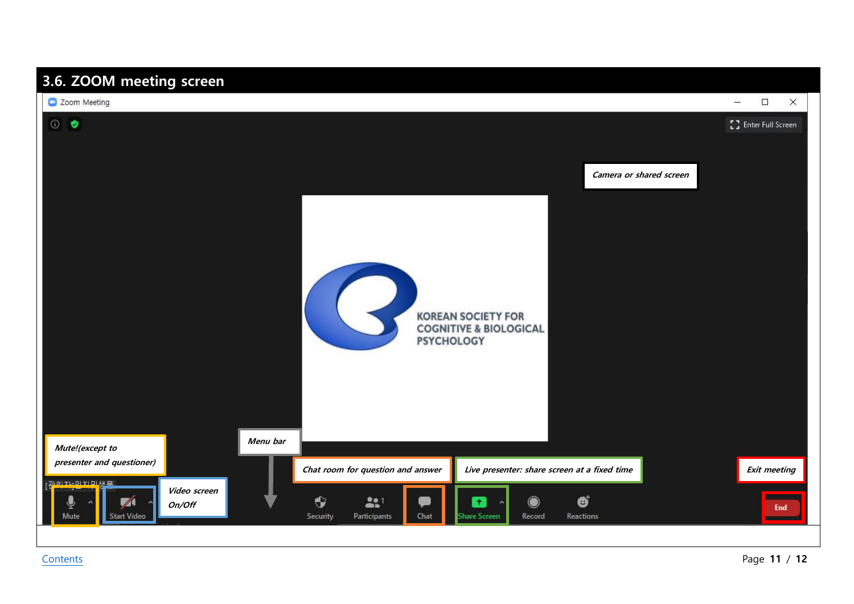